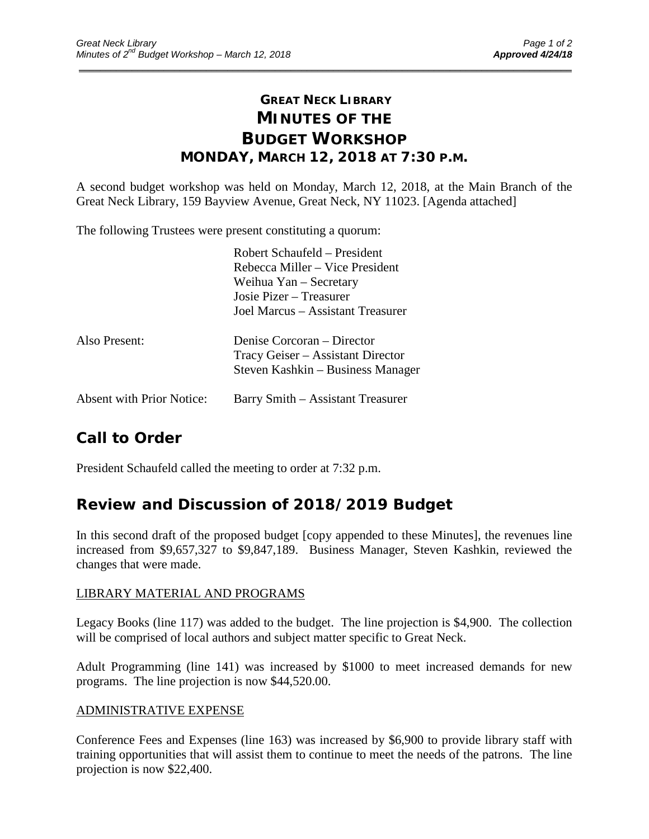## **GREAT NECK LIBRARY MINUTES OF THE BUDGET WORKSHOP MONDAY, MARCH 12, 2018 AT 7:30 P.M.**

\_\_\_\_\_\_\_\_\_\_\_\_\_\_\_\_\_\_\_\_\_\_\_\_\_\_\_\_\_\_\_\_\_\_\_\_\_\_\_\_\_\_\_\_\_\_\_\_\_\_\_\_\_\_\_\_\_\_\_\_\_\_\_\_\_\_\_\_\_\_\_\_\_\_\_\_\_\_\_\_\_\_\_\_\_\_\_\_\_\_\_\_\_

A second budget workshop was held on Monday, March 12, 2018, at the Main Branch of the Great Neck Library, 159 Bayview Avenue, Great Neck, NY 11023. [Agenda attached]

The following Trustees were present constituting a quorum:

|                                  | Robert Schaufeld - President      |
|----------------------------------|-----------------------------------|
|                                  | Rebecca Miller – Vice President   |
|                                  | Weihua Yan – Secretary            |
|                                  | Josie Pizer – Treasurer           |
|                                  | Joel Marcus – Assistant Treasurer |
| Also Present:                    | Denise Corcoran – Director        |
|                                  | Tracy Geiser – Assistant Director |
|                                  | Steven Kashkin – Business Manager |
| <b>Absent with Prior Notice:</b> | Barry Smith – Assistant Treasurer |

# **Call to Order**

President Schaufeld called the meeting to order at 7:32 p.m.

## **Review and Discussion of 2018/2019 Budget**

In this second draft of the proposed budget [copy appended to these Minutes], the revenues line increased from \$9,657,327 to \$9,847,189. Business Manager, Steven Kashkin, reviewed the changes that were made.

#### LIBRARY MATERIAL AND PROGRAMS

Legacy Books (line 117) was added to the budget. The line projection is \$4,900. The collection will be comprised of local authors and subject matter specific to Great Neck.

Adult Programming (line 141) was increased by \$1000 to meet increased demands for new programs. The line projection is now \$44,520.00.

### ADMINISTRATIVE EXPENSE

Conference Fees and Expenses (line 163) was increased by \$6,900 to provide library staff with training opportunities that will assist them to continue to meet the needs of the patrons. The line projection is now \$22,400.